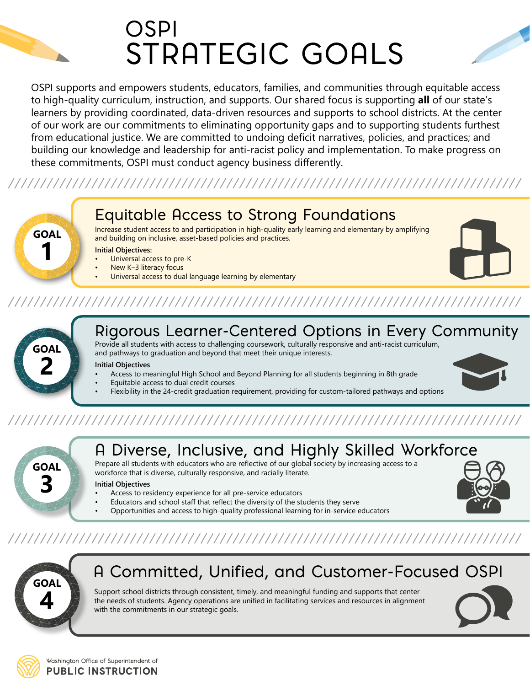

OSPI supports and empowers students, educators, families, and communities through equitable access to high-quality curriculum, instruction, and supports. Our shared focus is supporting **all** of our state's learners by providing coordinated, data-driven resources and supports to school districts. At the center of our work are our commitments to eliminating opportunity gaps and to supporting students furthest from educational justice. We are committed to undoing deficit narratives, policies, and practices; and building our knowledge and leadership for anti-racist policy and implementation. To make progress on these commitments, OSPI must conduct agency business differently.

### 



Increase student access to and participation in high-quality early learning and elementary by amplifying and building on inclusive, asset-based policies and practices.

**Initial Objectives:**

- Universal access to pre-K
- New K-3 literacy focus
- Universal access to dual language learning by elementary



## 



**GOAL**

**1**

#### Rigorous Learner-Centered Options in Every Community

Provide all students with access to challenging coursework, culturally responsive and anti-racist curriculum, and pathways to graduation and beyond that meet their unique interests.

#### **Initial Objectives**

- Access to meaningful High School and Beyond Planning for all students beginning in 8th grade
- Equitable access to dual credit courses
- Flexibility in the 24-credit graduation requirement, providing for custom-tailored pathways and options



# **GOAL 3**

### A Diverse, Inclusive, and Highly Skilled Workforce

Prepare all students with educators who are reflective of our global society by increasing access to a workforce that is diverse, culturally responsive, and racially literate.

#### **Initial Objectives**

- Access to residency experience for all pre-service educators
- Educators and school staff that reflect the diversity of the students they serve
- Opportunities and access to high-quality professional learning for in-service educators



### A Committed, Unified, and Customer-Focused OSPI

Support school districts through consistent, timely, and meaningful funding and supports that center the needs of students. Agency operations are unified in facilitating services and resources in alignment with the commitments in our strategic goals.



Washington Office of Superintendent of **PUBLIC INSTRUCTION**